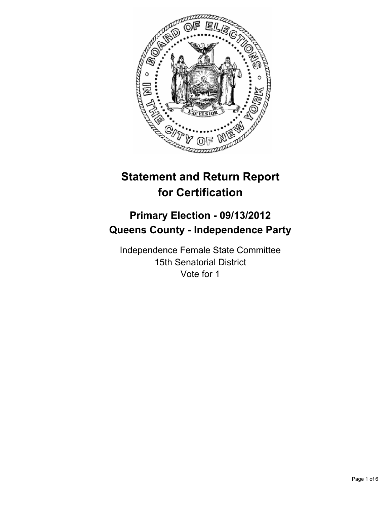

# **Statement and Return Report for Certification**

# **Primary Election - 09/13/2012 Queens County - Independence Party**

Independence Female State Committee 15th Senatorial District Vote for 1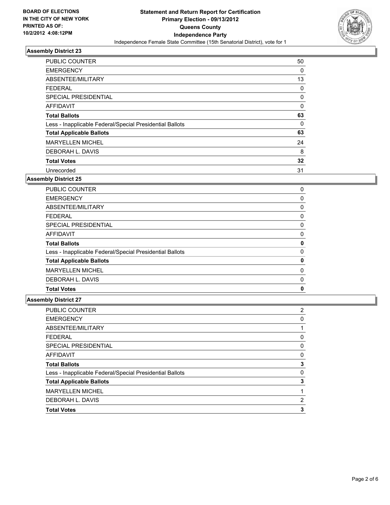

| <b>PUBLIC COUNTER</b>                                    | 50 |
|----------------------------------------------------------|----|
| <b>EMERGENCY</b>                                         | 0  |
| ABSENTEE/MILITARY                                        | 13 |
| <b>FEDERAL</b>                                           | 0  |
| SPECIAL PRESIDENTIAL                                     | 0  |
| <b>AFFIDAVIT</b>                                         | 0  |
| <b>Total Ballots</b>                                     | 63 |
| Less - Inapplicable Federal/Special Presidential Ballots | 0  |
| <b>Total Applicable Ballots</b>                          | 63 |
| <b>MARYELLEN MICHEL</b>                                  | 24 |
| DEBORAH L. DAVIS                                         | 8  |
| <b>Total Votes</b>                                       | 32 |
| Unrecorded                                               | 31 |

#### **Assembly District 25**

| 0 |
|---|
| 0 |
| 0 |
| 0 |
| 0 |
| 0 |
| 0 |
| 0 |
| 0 |
| 0 |
| 0 |
| 0 |
|   |

| <b>PUBLIC COUNTER</b>                                    | 2 |
|----------------------------------------------------------|---|
| <b>EMERGENCY</b>                                         | 0 |
| ABSENTEE/MILITARY                                        |   |
| <b>FEDERAL</b>                                           | 0 |
| <b>SPECIAL PRESIDENTIAL</b>                              | 0 |
| AFFIDAVIT                                                | 0 |
| <b>Total Ballots</b>                                     | 3 |
| Less - Inapplicable Federal/Special Presidential Ballots | 0 |
|                                                          | 3 |
| <b>Total Applicable Ballots</b>                          |   |
| <b>MARYELLEN MICHEL</b>                                  |   |
| DEBORAH L. DAVIS                                         | 2 |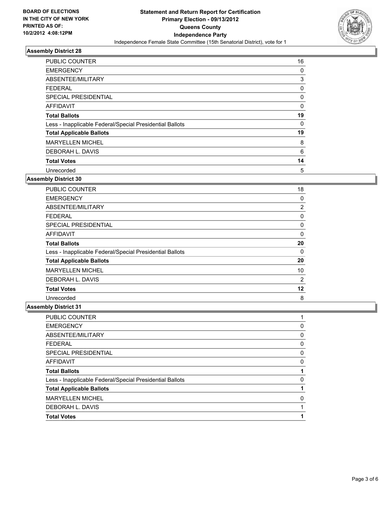

| <b>PUBLIC COUNTER</b>                                    | 16 |
|----------------------------------------------------------|----|
| <b>EMERGENCY</b>                                         | 0  |
| ABSENTEE/MILITARY                                        | 3  |
| <b>FEDERAL</b>                                           | 0  |
| SPECIAL PRESIDENTIAL                                     | 0  |
| <b>AFFIDAVIT</b>                                         | 0  |
| <b>Total Ballots</b>                                     | 19 |
| Less - Inapplicable Federal/Special Presidential Ballots | 0  |
| <b>Total Applicable Ballots</b>                          | 19 |
| <b>MARYELLEN MICHEL</b>                                  | 8  |
| DEBORAH L. DAVIS                                         | 6  |
| <b>Total Votes</b>                                       | 14 |
| Unrecorded                                               | 5  |

#### **Assembly District 30**

| <b>PUBLIC COUNTER</b>                                    | 18             |
|----------------------------------------------------------|----------------|
| <b>EMERGENCY</b>                                         | 0              |
| ABSENTEE/MILITARY                                        | 2              |
| FEDERAL                                                  | 0              |
| <b>SPECIAL PRESIDENTIAL</b>                              | 0              |
| <b>AFFIDAVIT</b>                                         | 0              |
| <b>Total Ballots</b>                                     | 20             |
| Less - Inapplicable Federal/Special Presidential Ballots | 0              |
| <b>Total Applicable Ballots</b>                          | 20             |
| <b>MARYELLEN MICHEL</b>                                  | 10             |
| DEBORAH L. DAVIS                                         | $\overline{2}$ |
| <b>Total Votes</b>                                       | 12             |
| Unrecorded                                               | 8              |

| <b>PUBLIC COUNTER</b>                                    |   |
|----------------------------------------------------------|---|
| <b>EMERGENCY</b>                                         | 0 |
| ABSENTEE/MILITARY                                        | 0 |
| <b>FEDERAL</b>                                           | 0 |
| SPECIAL PRESIDENTIAL                                     | 0 |
| AFFIDAVIT                                                | 0 |
| <b>Total Ballots</b>                                     |   |
| Less - Inapplicable Federal/Special Presidential Ballots | 0 |
| <b>Total Applicable Ballots</b>                          |   |
| <b>MARYELLEN MICHEL</b>                                  | 0 |
| DEBORAH L. DAVIS                                         |   |
| <b>Total Votes</b>                                       | 1 |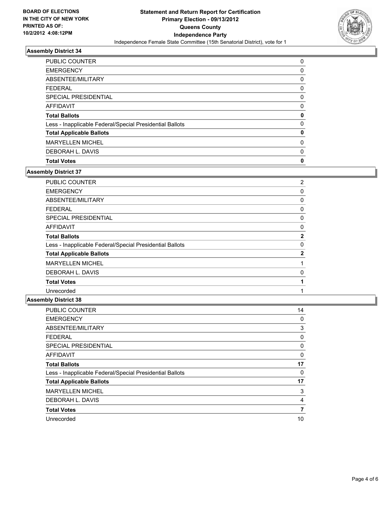

| <b>PUBLIC COUNTER</b>                                    | 0 |
|----------------------------------------------------------|---|
| <b>EMERGENCY</b>                                         | 0 |
| ABSENTEE/MILITARY                                        | 0 |
| <b>FEDERAL</b>                                           | 0 |
| SPECIAL PRESIDENTIAL                                     | 0 |
| AFFIDAVIT                                                | 0 |
| <b>Total Ballots</b>                                     | 0 |
| Less - Inapplicable Federal/Special Presidential Ballots | 0 |
| <b>Total Applicable Ballots</b>                          | 0 |
| <b>MARYELLEN MICHEL</b>                                  | 0 |
| DEBORAH L. DAVIS                                         | 0 |
| <b>Total Votes</b>                                       | 0 |

#### **Assembly District 37**

| 2            |
|--------------|
| 0            |
| 0            |
| 0            |
| 0            |
| 0            |
| $\mathbf{2}$ |
| 0            |
| $\mathbf{2}$ |
|              |
| 0            |
|              |
|              |
|              |

| <b>PUBLIC COUNTER</b>                                    | 14 |
|----------------------------------------------------------|----|
| <b>EMERGENCY</b>                                         | 0  |
| ABSENTEE/MILITARY                                        | 3  |
| <b>FEDERAL</b>                                           | 0  |
| SPECIAL PRESIDENTIAL                                     | 0  |
| AFFIDAVIT                                                | 0  |
| <b>Total Ballots</b>                                     | 17 |
| Less - Inapplicable Federal/Special Presidential Ballots | 0  |
| <b>Total Applicable Ballots</b>                          | 17 |
| <b>MARYELLEN MICHEL</b>                                  | 3  |
| DEBORAH L. DAVIS                                         | 4  |
| <b>Total Votes</b>                                       | 7  |
| Unrecorded                                               | 10 |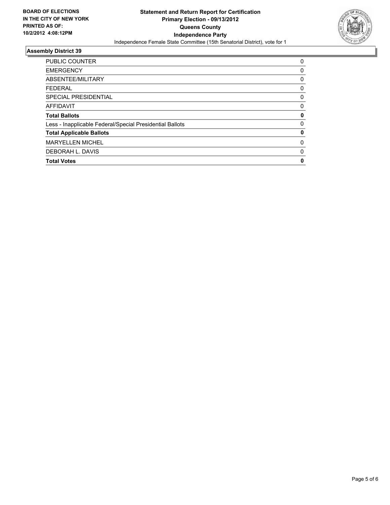

| <b>PUBLIC COUNTER</b>                                    | 0 |
|----------------------------------------------------------|---|
| <b>EMERGENCY</b>                                         | 0 |
| ABSENTEE/MILITARY                                        | 0 |
| <b>FEDERAL</b>                                           | 0 |
| SPECIAL PRESIDENTIAL                                     | 0 |
| <b>AFFIDAVIT</b>                                         | 0 |
| <b>Total Ballots</b>                                     | 0 |
| Less - Inapplicable Federal/Special Presidential Ballots | 0 |
| <b>Total Applicable Ballots</b>                          | 0 |
| <b>MARYELLEN MICHEL</b>                                  | 0 |
| DEBORAH L. DAVIS                                         | 0 |
| <b>Total Votes</b>                                       | 0 |